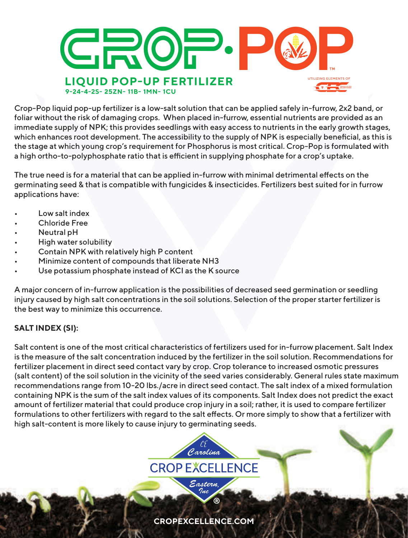

Crop-Pop liquid pop-up fertilizer is a low-salt solution that can be applied safely in-furrow, 2x2 band, or foliar without the risk of damaging crops. When placed in-furrow, essential nutrients are provided as an immediate supply of NPK; this provides seedlings with easy access to nutrients in the early growth stages, which enhances root development. The accessibility to the supply of NPK is especially beneficial, as this is the stage at which young crop's requirement for Phosphorus is most critical. Crop-Pop is formulated with a high ortho-to-polyphosphate ratio that is efficient in supplying phosphate for a crop's uptake.

The true need is for a material that can be applied in-furrow with minimal detrimental effects on the germinating seed & that is compatible with fungicides & insecticides. Fertilizers best suited for in furrow applications have:

- Low salt index
- Chloride Free
- Neutral pH
- High water solubility
- Contain NPK with relatively high P content
- Minimize content of compounds that liberate NH3
- Use potassium phosphate instead of KCI as the K source

A major concern of in-furrow application is the possibilities of decreased seed germination or seedling injury caused by high salt concentrations in the soil solutions. Selection of the proper starter fertilizer is the best way to minimize this occurrence.

## **SALT INDEX (SI):**

Salt content is one of the most critical characteristics of fertilizers used for in-furrow placement. Salt Index is the measure of the salt concentration induced by the fertilizer in the soil solution. Recommendations for fertilizer placement in direct seed contact vary by crop. Crop tolerance to increased osmotic pressures (salt content) of the soil solution in the vicinity of the seed varies considerably. General rules state maximum recommendations range from 10-20 lbs./acre in direct seed contact. The salt index of a mixed formulation containing NPK is the sum of the salt index values of its components. Salt Index does not predict the exact amount of fertilizer material that could produce crop injury in a soil; rather, it is used to compare fertilizer formulations to other fertilizers with regard to the salt effects. Or more simply to show that a fertilizer with high salt-content is more likely to cause injury to germinating seeds.



**CROPEXCELLENCE.COM**